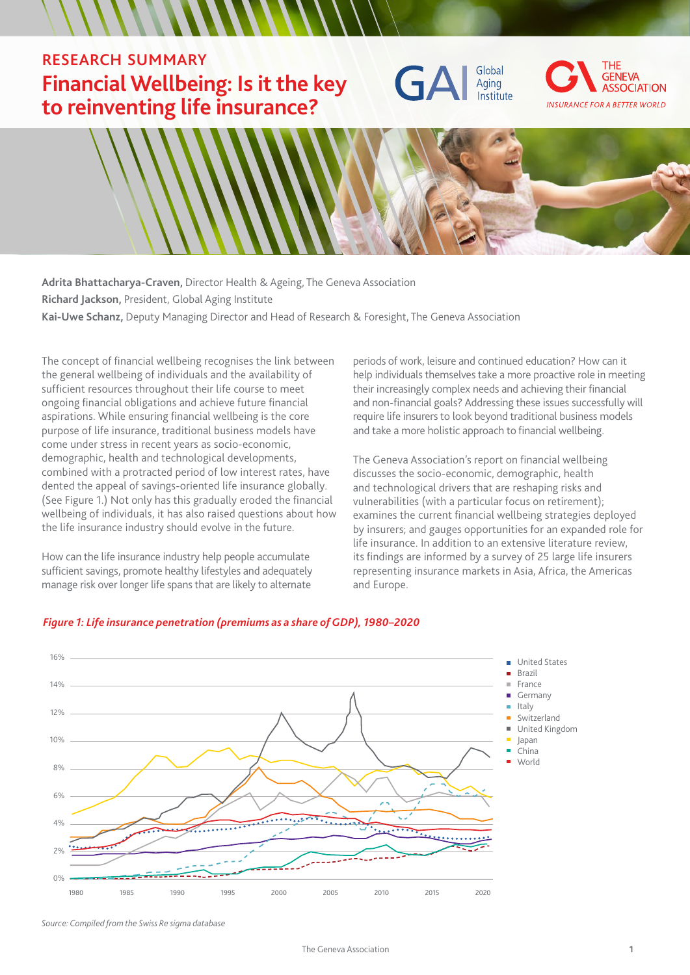## RESEARCH SUMMARY **Financial Wellbeing: Is it the key to reinventing life insurance?**







**Adrita Bhattacharya-Craven,** Director Health & Ageing, The Geneva Association **Richard Jackson,** President, Global Aging Institute **Kai-Uwe Schanz,** Deputy Managing Director and Head of Research & Foresight, The Geneva Association

The concept of financial wellbeing recognises the link between the general wellbeing of individuals and the availability of sufficient resources throughout their life course to meet ongoing financial obligations and achieve future financial aspirations. While ensuring financial wellbeing is the core purpose of life insurance, traditional business models have come under stress in recent years as socio-economic, demographic, health and technological developments, combined with a protracted period of low interest rates, have dented the appeal of savings-oriented life insurance globally. (See Figure 1.) Not only has this gradually eroded the financial wellbeing of individuals, it has also raised questions about how the life insurance industry should evolve in the future.

How can the life insurance industry help people accumulate sufficient savings, promote healthy lifestyles and adequately manage risk over longer life spans that are likely to alternate

periods of work, leisure and continued education? How can it help individuals themselves take a more proactive role in meeting their increasingly complex needs and achieving their financial and non-financial goals? Addressing these issues successfully will require life insurers to look beyond traditional business models and take a more holistic approach to financial wellbeing.

The Geneva Association's report on financial wellbeing discusses the socio-economic, demographic, health and technological drivers that are reshaping risks and vulnerabilities (with a particular focus on retirement); examines the current financial wellbeing strategies deployed by insurers; and gauges opportunities for an expanded role for life insurance. In addition to an extensive literature review, its findings are informed by a survey of 25 large life insurers representing insurance markets in Asia, Africa, the Americas and Europe.



### *Figure 1: Life insurance penetration (premiums as a share of GDP), 1980–2020*

*Source: Compiled from the Swiss Re sigma database*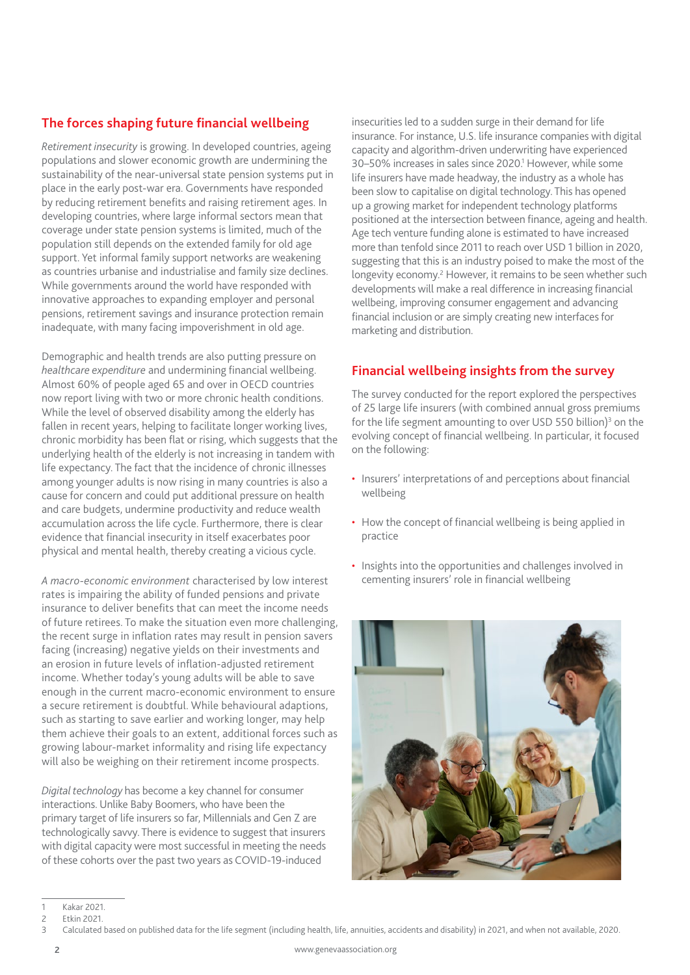## **The forces shaping future financial wellbeing**

*Retirement insecurity* is growing. In developed countries, ageing populations and slower economic growth are undermining the sustainability of the near-universal state pension systems put in place in the early post-war era. Governments have responded by reducing retirement benefits and raising retirement ages. In developing countries, where large informal sectors mean that coverage under state pension systems is limited, much of the population still depends on the extended family for old age support. Yet informal family support networks are weakening as countries urbanise and industrialise and family size declines. While governments around the world have responded with innovative approaches to expanding employer and personal pensions, retirement savings and insurance protection remain inadequate, with many facing impoverishment in old age.

Demographic and health trends are also putting pressure on *healthcare expenditure* and undermining financial wellbeing. Almost 60% of people aged 65 and over in OECD countries now report living with two or more chronic health conditions. While the level of observed disability among the elderly has fallen in recent years, helping to facilitate longer working lives, chronic morbidity has been flat or rising, which suggests that the underlying health of the elderly is not increasing in tandem with life expectancy. The fact that the incidence of chronic illnesses among younger adults is now rising in many countries is also a cause for concern and could put additional pressure on health and care budgets, undermine productivity and reduce wealth accumulation across the life cycle. Furthermore, there is clear evidence that financial insecurity in itself exacerbates poor physical and mental health, thereby creating a vicious cycle.

*A macro-economic environment* characterised by low interest rates is impairing the ability of funded pensions and private insurance to deliver benefits that can meet the income needs of future retirees. To make the situation even more challenging, the recent surge in inflation rates may result in pension savers facing (increasing) negative yields on their investments and an erosion in future levels of inflation-adjusted retirement income. Whether today's young adults will be able to save enough in the current macro-economic environment to ensure a secure retirement is doubtful. While behavioural adaptions, such as starting to save earlier and working longer, may help them achieve their goals to an extent, additional forces such as growing labour-market informality and rising life expectancy will also be weighing on their retirement income prospects.

*Digital technology* has become a key channel for consumer interactions. Unlike Baby Boomers, who have been the primary target of life insurers so far, Millennials and Gen Z are technologically savvy. There is evidence to suggest that insurers with digital capacity were most successful in meeting the needs of these cohorts over the past two years as COVID-19-induced

insecurities led to a sudden surge in their demand for life insurance. For instance, U.S. life insurance companies with digital capacity and algorithm-driven underwriting have experienced 30-50% increases in sales since 2020.<sup>1</sup> However, while some life insurers have made headway, the industry as a whole has been slow to capitalise on digital technology. This has opened up a growing market for independent technology platforms positioned at the intersection between finance, ageing and health. Age tech venture funding alone is estimated to have increased more than tenfold since 2011 to reach over USD 1 billion in 2020, suggesting that this is an industry poised to make the most of the longevity economy.<sup>2</sup> However, it remains to be seen whether such developments will make a real difference in increasing financial wellbeing, improving consumer engagement and advancing financial inclusion or are simply creating new interfaces for marketing and distribution.

## **Financial wellbeing insights from the survey**

The survey conducted for the report explored the perspectives of 25 large life insurers (with combined annual gross premiums for the life segment amounting to over USD 550 billion)<sup>3</sup> on the evolving concept of financial wellbeing. In particular, it focused on the following:

- Insurers' interpretations of and perceptions about financial wellbeing
- How the concept of financial wellbeing is being applied in practice
- Insights into the opportunities and challenges involved in cementing insurers' role in financial wellbeing



<sup>1</sup> Kakar 2021.

<sup>2</sup> Etkin 2021.<br>3 Calculated

<sup>3</sup> Calculated based on published data for the life segment (including health, life, annuities, accidents and disability) in 2021, and when not available, 2020.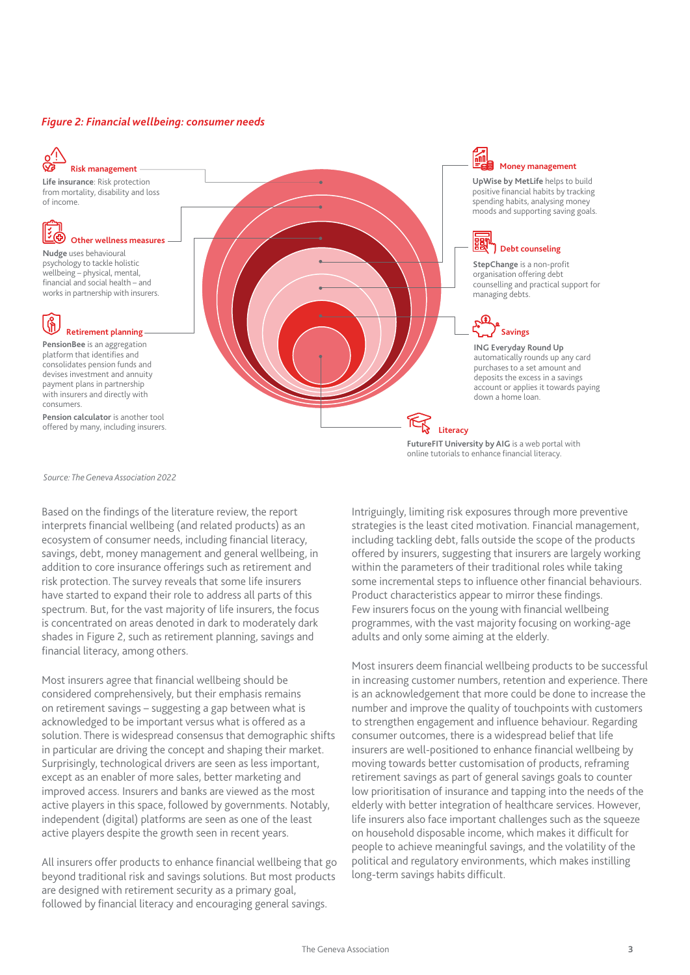### *Figure 2: Financial wellbeing: consumer needs*



**Life insurance**: Risk protection from mortality, disability and loss of income.

# **E**

**Nudge** uses behavioural psychology to tackle holistic wellbeing – physical, mental, financial and social health – and works in partnership with insurers. **Other wellness measures**

# **Retirement planning**

**PensionBee** is an aggregation platform that identifies and consolidates pension funds and devises investment and annuity payment plans in partnership with insurers and directly with consumers.

**Pension calculator** is another tool offered by many, including insurers.

## **Money management**

 $\frac{1}{10}$ 

**UpWise by MetLife** helps to build positive financial habits by tracking spending habits, analysing money moods and supporting saving goals.

# **Debt counseling**

**StepChange** is a non-profit organisation offering debt counselling and practical support for managing debts.

# **Savings**

**ING Everyday Round Up**  automatically rounds up any card purchases to a set amount and deposits the excess in a savings account or applies it towards paying down a home loan.

**Literacy**

**FutureFIT University by AIG** is a web portal with online tutorials to enhance financial literacy.

*Source: The Geneva Association 2022*

Based on the findings of the literature review, the report interprets financial wellbeing (and related products) as an ecosystem of consumer needs, including financial literacy, savings, debt, money management and general wellbeing, in addition to core insurance offerings such as retirement and risk protection. The survey reveals that some life insurers have started to expand their role to address all parts of this spectrum. But, for the vast majority of life insurers, the focus is concentrated on areas denoted in dark to moderately dark shades in Figure 2, such as retirement planning, savings and financial literacy, among others.

Most insurers agree that financial wellbeing should be considered comprehensively, but their emphasis remains on retirement savings – suggesting a gap between what is acknowledged to be important versus what is offered as a solution. There is widespread consensus that demographic shifts in particular are driving the concept and shaping their market. Surprisingly, technological drivers are seen as less important, except as an enabler of more sales, better marketing and improved access. Insurers and banks are viewed as the most active players in this space, followed by governments. Notably, independent (digital) platforms are seen as one of the least active players despite the growth seen in recent years.

All insurers offer products to enhance financial wellbeing that go beyond traditional risk and savings solutions. But most products are designed with retirement security as a primary goal, followed by financial literacy and encouraging general savings.

Intriguingly, limiting risk exposures through more preventive strategies is the least cited motivation. Financial management, including tackling debt, falls outside the scope of the products offered by insurers, suggesting that insurers are largely working within the parameters of their traditional roles while taking some incremental steps to influence other financial behaviours. Product characteristics appear to mirror these findings. Few insurers focus on the young with financial wellbeing programmes, with the vast majority focusing on working-age adults and only some aiming at the elderly.

Most insurers deem financial wellbeing products to be successful in increasing customer numbers, retention and experience. There is an acknowledgement that more could be done to increase the number and improve the quality of touchpoints with customers to strengthen engagement and influence behaviour. Regarding consumer outcomes, there is a widespread belief that life insurers are well-positioned to enhance financial wellbeing by moving towards better customisation of products, reframing retirement savings as part of general savings goals to counter low prioritisation of insurance and tapping into the needs of the elderly with better integration of healthcare services. However, life insurers also face important challenges such as the squeeze on household disposable income, which makes it difficult for people to achieve meaningful savings, and the volatility of the political and regulatory environments, which makes instilling long-term savings habits difficult.